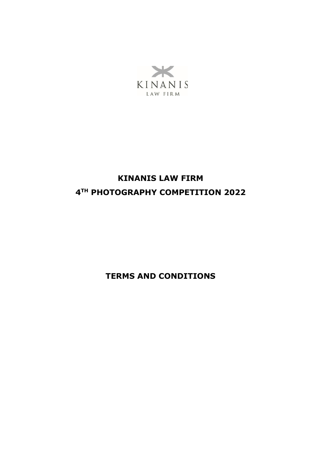

# **KINANIS LAW FIRM 4 TH PHOTOGRAPHY COMPETITION 2022**

**TERMS AND CONDITIONS**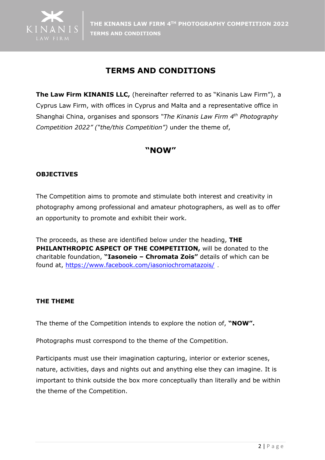

# **TERMS AND CONDITIONS**

**The Law Firm KINANIS LLC,** (hereinafter referred to as "Kinanis Law Firm"), a Cyprus Law Firm, with offices in Cyprus and Malta and a representative office in Shanghai China, organises and sponsors *"The Kinanis Law Firm 4 th Photography Competition 2022" ("the/this Competition")* under the theme of,

# **"NOW"**

# **OBJECTIVES**

The Competition aims to promote and stimulate both interest and creativity in photography among professional and amateur photographers, as well as to offer an opportunity to promote and exhibit their work.

The proceeds, as these are identified below under the heading, **THE PHILANTHROPIC ASPECT OF THE COMPETITION,** will be donated to the charitable foundation, **"Iasoneio – Chromata Zois"** details of which can be found at,<https://www.facebook.com/iasoniochromatazois/> .

# **THE THEME**

The theme of the Competition intends to explore the notion of, **"NOW".**

Photographs must correspond to the theme of the Competition.

Participants must use their imagination capturing, interior or exterior scenes, nature, activities, days and nights out and anything else they can imagine. It is important to think outside the box more conceptually than literally and be within the theme of the Competition.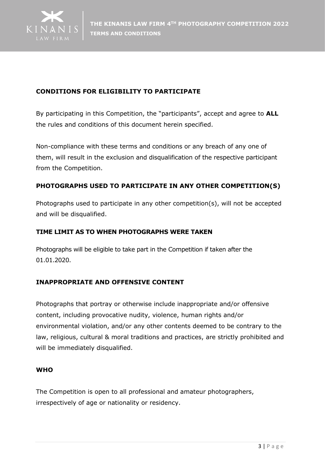

# **CONDITIONS FOR ELIGIBILITY TO PARTICIPATE**

By participating in this Competition, the "participants", accept and agree to **ALL** the rules and conditions of this document herein specified.

Non-compliance with these terms and conditions or any breach of any one of them, will result in the exclusion and disqualification of the respective participant from the Competition.

# **PHOTOGRAPHS USED TO PARTICIPATE IN ANY OTHER COMPETITION(S)**

Photographs used to participate in any other competition(s), will not be accepted and will be disqualified.

### **TIME LIMIT AS TO WHEN PHOTOGRAPHS WERE TAKEN**

Photographs will be eligible to take part in the Competition if taken after the 01.01.2020.

# **INAPPROPRIATE AND OFFENSIVE CONTENT**

Photographs that portray or otherwise include inappropriate and/or offensive content, including provocative nudity, violence, human rights and/or environmental violation, and/or any other contents deemed to be contrary to the law, religious, cultural & moral traditions and practices, are strictly prohibited and will be immediately disqualified.

### **WHO**

The Competition is open to all professional and amateur photographers, irrespectively of age or nationality or residency.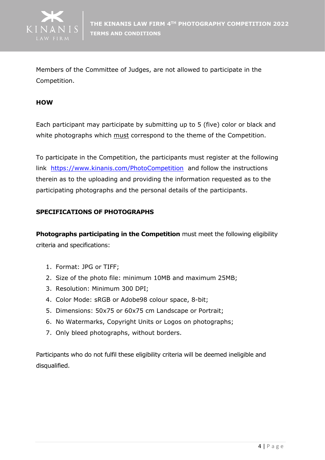

Members of the Committee of Judges, are not allowed to participate in the Competition.

#### **HOW**

Each participant may participate by submitting up to 5 (five) color or black and white photographs which must correspond to the theme of the Competition.

To participate in the Competition, the participants must register at the following link <https://www.kinanis.com/PhotoCompetition> and follow the instructions therein as to the uploading and providing the information requested as to the participating photographs and the personal details of the participants.

### **SPECIFICATIONS OF PHOTOGRAPHS**

**Photographs participating in the Competition** must meet the following eligibility criteria and specifications:

- 1. Format: JPG or TIFF;
- 2. Size of the photo file: minimum 10MB and maximum 25MB;
- 3. Resolution: Minimum 300 DPI;
- 4. Color Mode: sRGB or Adobe98 colour space, 8-bit;
- 5. Dimensions: 50x75 or 60x75 cm Landscape or Portrait;
- 6. No Watermarks, Copyright Units or Logos on photographs;
- 7. Only bleed photographs, without borders.

Participants who do not fulfil these eligibility criteria will be deemed ineligible and disqualified.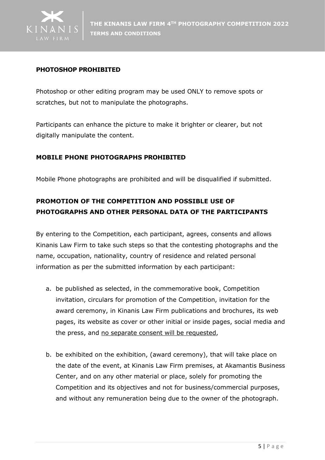

### **PHOTOSHOP PROHIBITED**

Photoshop or other editing program may be used ONLY to remove spots or scratches, but not to manipulate the photographs.

Participants can enhance the picture to make it brighter or clearer, but not digitally manipulate the content.

#### **MOBILE PHONE PHOTOGRAPHS PROHIBITED**

Mobile Phone photographs are prohibited and will be disqualified if submitted.

# **PROMOTION OF THE COMPETITION AND POSSIBLE USE OF PHOTOGRAPHS AND OTHER PERSONAL DATA OF THE PARTICIPANTS**

By entering to the Competition, each participant, agrees, consents and allows Kinanis Law Firm to take such steps so that the contesting photographs and the name, occupation, nationality, country of residence and related personal information as per the submitted information by each participant:

- a. be published as selected, in the commemorative book, Competition invitation, circulars for promotion of the Competition, invitation for the award ceremony, in Kinanis Law Firm publications and brochures, its web pages, its website as cover or other initial or inside pages, social media and the press, and no separate consent will be requested,
- b. be exhibited on the exhibition, (award ceremony), that will take place on the date of the event, at Kinanis Law Firm premises, at Akamantis Business Center, and on any other material or place, solely for promoting the Competition and its objectives and not for business/commercial purposes, and without any remuneration being due to the owner of the photograph.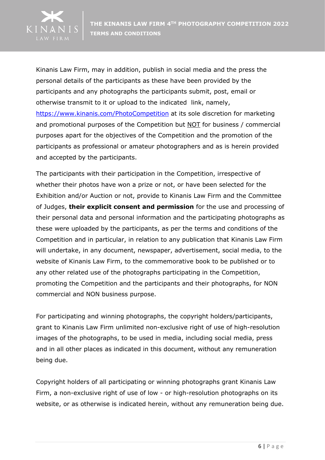

Kinanis Law Firm, may in addition, publish in social media and the press the personal details of the participants as these have been provided by the participants and any photographs the participants submit, post, email or otherwise transmit to it or upload to the indicated link, namely, <https://www.kinanis.com/PhotoCompetition> at its sole discretion for marketing and promotional purposes of the Competition but NOT for business / commercial purposes apart for the objectives of the Competition and the promotion of the participants as professional or amateur photographers and as is herein provided and accepted by the participants.

The participants with their participation in the Competition, irrespective of whether their photos have won a prize or not, or have been selected for the Exhibition and/or Auction or not, provide to Kinanis Law Firm and the Committee of Judges, **their explicit consent and permission** for the use and processing of their personal data and personal information and the participating photographs as these were uploaded by the participants, as per the terms and conditions of the Competition and in particular, in relation to any publication that Kinanis Law Firm will undertake, in any document, newspaper, advertisement, social media, to the website of Kinanis Law Firm, to the commemorative book to be published or to any other related use of the photographs participating in the Competition, promoting the Competition and the participants and their photographs, for NON commercial and NON business purpose.

For participating and winning photographs, the copyright holders/participants, grant to Kinanis Law Firm unlimited non-exclusive right of use of high-resolution images of the photographs, to be used in media, including social media, press and in all other places as indicated in this document, without any remuneration being due.

Copyright holders of all participating or winning photographs grant Kinanis Law Firm, a non-exclusive right of use of low - or high-resolution photographs on its website, or as otherwise is indicated herein, without any remuneration being due.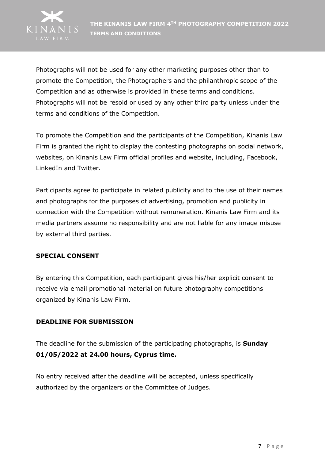

Photographs will not be used for any other marketing purposes other than to promote the Competition, the Photographers and the philanthropic scope of the Competition and as otherwise is provided in these terms and conditions. Photographs will not be resold or used by any other third party unless under the terms and conditions of the Competition.

To promote the Competition and the participants of the Competition, Kinanis Law Firm is granted the right to display the contesting photographs on social network, websites, on Kinanis Law Firm official profiles and website, including, Facebook, LinkedIn and Twitter.

Participants agree to participate in related publicity and to the use of their names and photographs for the purposes of advertising, promotion and publicity in connection with the Competition without remuneration. Kinanis Law Firm and its media partners assume no responsibility and are not liable for any image misuse by external third parties.

### **SPECIAL CONSENT**

By entering this Competition, each participant gives his/her explicit consent to receive via email promotional material on future photography competitions organized by Kinanis Law Firm.

# **DEADLINE FOR SUBMISSION**

The deadline for the submission of the participating photographs, is **Sunday 01/05/2022 at 24.00 hours, Cyprus time.**

No entry received after the deadline will be accepted, unless specifically authorized by the organizers or the Committee of Judges.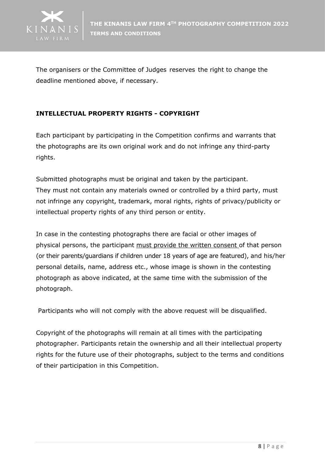

The organisers or the Committee of Judges reserves the right to change the deadline mentioned above, if necessary.

## **INTELLECTUAL PROPERTY RIGHTS - COPYRIGHT**

Each participant by participating in the Competition confirms and warrants that the photographs are its own original work and do not infringe any third-party rights.

Submitted photographs must be original and taken by the participant. They must not contain any materials owned or controlled by a third party, must not infringe any copyright, trademark, moral rights, rights of privacy/publicity or intellectual property rights of any third person or entity.

In case in the contesting photographs there are facial or other images of physical persons, the participant must provide the written consent of that person (or their parents/guardians if children under 18 years of age are featured), and his/her personal details, name, address etc., whose image is shown in the contesting photograph as above indicated, at the same time with the submission of the photograph.

Participants who will not comply with the above request will be disqualified.

Copyright of the photographs will remain at all times with the participating photographer. Participants retain the ownership and all their intellectual property rights for the future use of their photographs, subject to the terms and conditions of their participation in this Competition.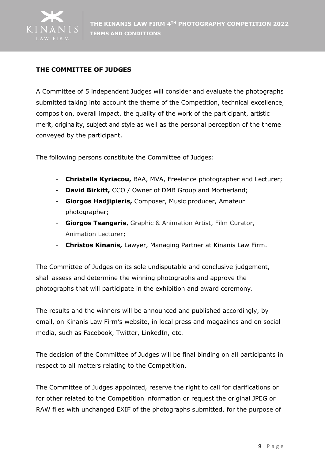

## **THE COMMITTEE OF JUDGES**

A Committee of 5 independent Judges will consider and evaluate the photographs submitted taking into account the theme of the Competition, technical excellence, composition, overall impact, the quality of the work of the participant, artistic merit, originality, subject and style as well as the personal perception of the theme conveyed by the participant.

The following persons constitute the Committee of Judges:

- **Christalla Kyriacou,** BAA, MVA, Freelance photographer and Lecturer;
- **David Birkitt,** CCO / Owner of DMB Group and Morherland;
- **Giorgos Hadjipieris,** Composer, Music producer, Amateur photographer;
- **Giorgos Tsangaris**, Graphic & Animation Artist, Film Curator, Animation Lecturer;
- **Christos Kinanis,** Lawyer, Managing Partner at Kinanis Law Firm.

The Committee of Judges on its sole undisputable and conclusive judgement, shall assess and determine the winning photographs and approve the photographs that will participate in the exhibition and award ceremony.

The results and the winners will be announced and published accordingly, by email, on Kinanis Law Firm's website, in local press and magazines and on social media, such as Facebook, Twitter, LinkedIn, etc.

The decision of the Committee of Judges will be final binding on all participants in respect to all matters relating to the Competition.

The Committee of Judges appointed, reserve the right to call for clarifications or for other related to the Competition information or request the original JPEG or RAW files with unchanged EXIF of the photographs submitted, for the purpose of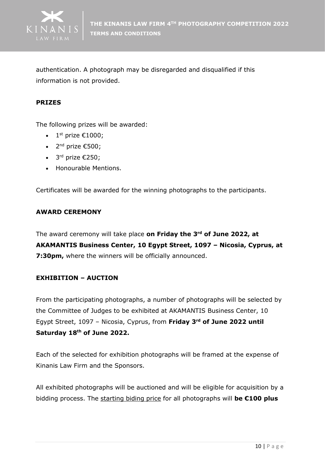

authentication. A photograph may be disregarded and disqualified if this information is not provided.

#### **PRIZES**

The following prizes will be awarded:

- 1st prize  $€1000;$
- 2<sup>nd</sup> prize  $\epsilon$ 500;
- $3^{rd}$  prize  $\epsilon$ 250;
- Honourable Mentions.

Certificates will be awarded for the winning photographs to the participants.

#### **AWARD CEREMONY**

The award ceremony will take place **on Friday the 3 rd of June 2022, at AKAMANTIS Business Center, 10 Egypt Street, 1097 – Nicosia, Cyprus, at 7:30pm,** where the winners will be officially announced.

### **EXHIBITION – AUCTION**

From the participating photographs, a number of photographs will be selected by the Committee of Judges to be exhibited at AKAMANTIS Business Center, 10 Egypt Street, 1097 – Nicosia, Cyprus, from **Friday 3 rd of June 2022 until Saturday 18 th of June 2022.**

Each of the selected for exhibition photographs will be framed at the expense of Kinanis Law Firm and the Sponsors.

All exhibited photographs will be auctioned and will be eligible for acquisition by a bidding process. The starting biding price for all photographs will **be €100 plus**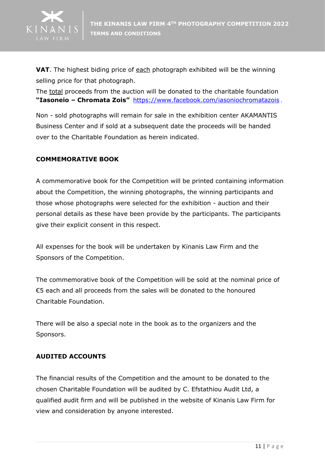

**VAT**. The highest biding price of each photograph exhibited will be the winning selling price for that photograph.

The total proceeds from the auction will be donated to the charitable foundation **"Iasoneio – Chromata Zois"** [https://www.facebook.com/iasoniochromatazois](https://www.facebook.com/iasoniochromatazois/) .

Non - sold photographs will remain for sale in the exhibition center AKAMANTIS Business Center and if sold at a subsequent date the proceeds will be handed over to the Charitable Foundation as herein indicated.

# **COMMEMORATIVE BOOK**

A commemorative book for the Competition will be printed containing information about the Competition, the winning photographs, the winning participants and those whose photographs were selected for the exhibition - auction and their personal details as these have been provide by the participants. The participants give their explicit consent in this respect.

All expenses for the book will be undertaken by Kinanis Law Firm and the Sponsors of the Competition.

The commemorative book of the Competition will be sold at the nominal price of €5 each and all proceeds from the sales will be donated to the honoured Charitable Foundation.

There will be also a special note in the book as to the organizers and the Sponsors.

### **AUDITED ACCOUNTS**

The financial results of the Competition and the amount to be donated to the chosen Charitable Foundation will be audited by C. Efstathiou Audit Ltd, a qualified audit firm and will be published in the website of Kinanis Law Firm for view and consideration by anyone interested.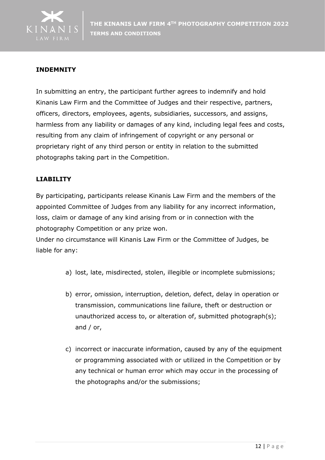

## **INDEMNITY**

In submitting an entry, the participant further agrees to indemnify and hold Kinanis Law Firm and the Committee of Judges and their respective, partners, officers, directors, employees, agents, subsidiaries, successors, and assigns, harmless from any liability or damages of any kind, including legal fees and costs, resulting from any claim of infringement of copyright or any personal or proprietary right of any third person or entity in relation to the submitted photographs taking part in the Competition.

#### **LIABILITY**

By participating, participants release Kinanis Law Firm and the members of the appointed Committee of Judges from any liability for any incorrect information, loss, claim or damage of any kind arising from or in connection with the photography Competition or any prize won.

Under no circumstance will Kinanis Law Firm or the Committee of Judges, be liable for any:

- a) lost, late, misdirected, stolen, illegible or incomplete submissions;
- b) error, omission, interruption, deletion, defect, delay in operation or transmission, communications line failure, theft or destruction or unauthorized access to, or alteration of, submitted photograph(s); and / or,
- c) incorrect or inaccurate information, caused by any of the equipment or programming associated with or utilized in the Competition or by any technical or human error which may occur in the processing of the photographs and/or the submissions;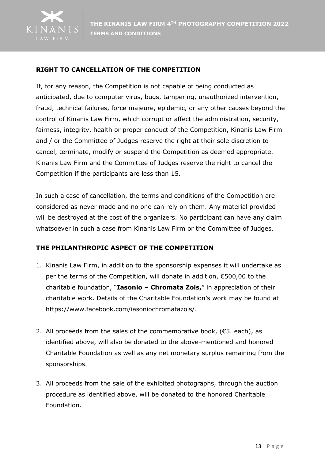

## **RIGHT TO CANCELLATION OF THE COMPETITION**

If, for any reason, the Competition is not capable of being conducted as anticipated, due to computer virus, bugs, tampering, unauthorized intervention, fraud, technical failures, force majeure, epidemic, or any other causes beyond the control of Kinanis Law Firm, which corrupt or affect the administration, security, fairness, integrity, health or proper conduct of the Competition, Kinanis Law Firm and / or the Committee of Judges reserve the right at their sole discretion to cancel, terminate, modify or suspend the Competition as deemed appropriate. Kinanis Law Firm and the Committee of Judges reserve the right to cancel the Competition if the participants are less than 15.

In such a case of cancellation, the terms and conditions of the Competition are considered as never made and no one can rely on them. Any material provided will be destroyed at the cost of the organizers. No participant can have any claim whatsoever in such a case from Kinanis Law Firm or the Committee of Judges.

### **THE PHILANTHROPIC ASPECT OF THE COMPETITION**

- 1. Kinanis Law Firm, in addition to the sponsorship expenses it will undertake as per the terms of the Competition, will donate in addition, €500,00 to the charitable foundation, "**Iasonio – Chromata Zois,**" in appreciation of their charitable work. Details of the Charitable Foundation's work may be found at https://www.facebook.com/iasoniochromatazois/.
- 2. All proceeds from the sales of the commemorative book,  $(£5. each)$ , as identified above, will also be donated to the above-mentioned and honored Charitable Foundation as well as any net monetary surplus remaining from the sponsorships.
- 3. All proceeds from the sale of the exhibited photographs, through the auction procedure as identified above, will be donated to the honored Charitable Foundation.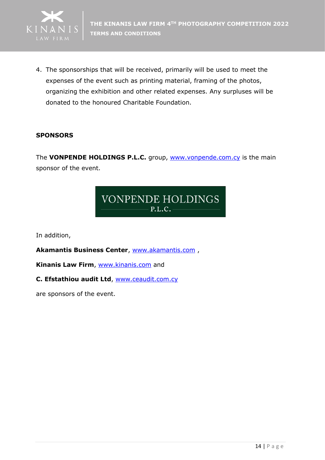

4. The sponsorships that will be received, primarily will be used to meet the expenses of the event such as printing material, framing of the photos, organizing the exhibition and other related expenses. Any surpluses will be donated to the honoured Charitable Foundation.

### **SPONSORS**

The **VONPENDE HOLDINGS P.L.C.** group, **[www.vonpende.com.cy](http://www.vonpende.com.cy/)** is the main sponsor of the event.

# **VONPENDE HOLDINGS**  $P.L.C.$

In addition,

**Akamantis Business Center**, [www.akamantis.com](http://www.akamantis.com/) ,

**Kinanis Law Firm**, [www.kinanis.com](http://www.kinanis.com/) and

#### **C. Efstathiou audit Ltd**, [www.ceaudit.com.cy](http://www.ceaudit.com.cy/)

are sponsors of the event.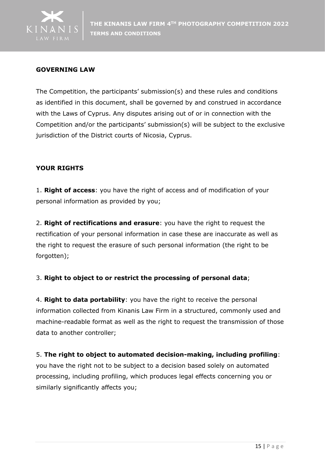

### **GOVERNING LAW**

The Competition, the participants' submission(s) and these rules and conditions as identified in this document, shall be governed by and construed in accordance with the Laws of Cyprus. Any disputes arising out of or in connection with the Competition and/or the participants' submission(s) will be subject to the exclusive jurisdiction of the District courts of Nicosia, Cyprus.

### **YOUR RIGHΤS**

1. **Right of access**: you have the right of access and of modification of your personal information as provided by you;

2. **Right of rectifications and erasure**: you have the right to request the rectification of your personal information in case these are inaccurate as well as the right to request the erasure of such personal information (the right to be forgotten);

### 3. **Right to object to or restrict the processing of personal data**;

4. **Right to data portability**: you have the right to receive the personal information collected from Kinanis Law Firm in a structured, commonly used and machine-readable format as well as the right to request the transmission of those data to another controller;

### 5. **The right to object to automated decision-making, including profiling**:

you have the right not to be subject to a decision based solely on automated processing, including profiling, which produces legal effects concerning you or similarly significantly affects you;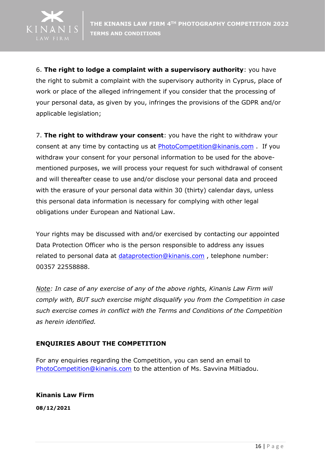

6. **The right to lodge a complaint with a supervisory authority**: you have the right to submit a complaint with the supervisory authority in Cyprus, place of work or place of the alleged infringement if you consider that the processing of your personal data, as given by you, infringes the provisions of the GDPR and/or applicable legislation;

7. **The right to withdraw your consent**: you have the right to withdraw your consent at any time by contacting us at [PhotoCompetition@kinanis.com](mailto:PhotoCompetition@kinanis.com) . If you withdraw your consent for your personal information to be used for the abovementioned purposes, we will process your request for such withdrawal of consent and will thereafter cease to use and/or disclose your personal data and proceed with the erasure of your personal data within 30 (thirty) calendar days, unless this personal data information is necessary for complying with other legal obligations under European and National Law.

Your rights may be discussed with and/or exercised by contacting our appointed Data Protection Officer who is the person responsible to address any issues related to personal data at [dataprotection@kinanis.com](mailto:dataprotection@kinanis.com) , telephone number: 00357 22558888.

*Note: In case of any exercise of any of the above rights, Kinanis Law Firm will comply with, BUT such exercise might disqualify you from the Competition in case such exercise comes in conflict with the Terms and Conditions of the Competition as herein identified.*

# **ENQUIRIES ABOUT THE COMPETITION**

For any enquiries regarding the Competition, you can send an email to [PhotoCompetition@kinanis.com](mailto:PhotoCompetition@kinanis.com) to the attention of Ms. Savvina Miltiadou.

**Kinanis Law Firm 08/12/2021**